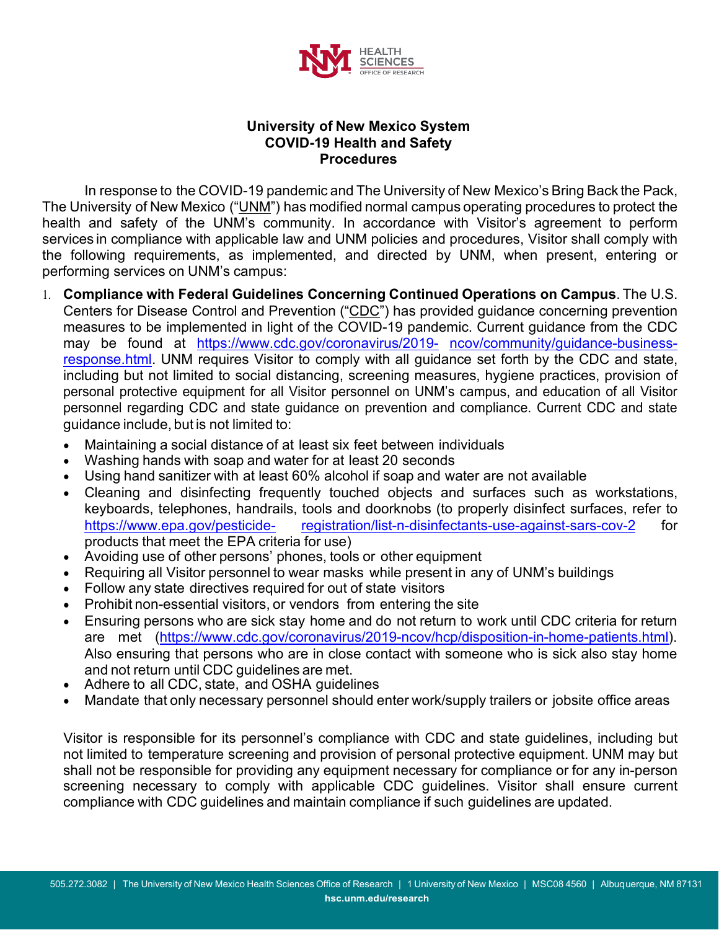

## **University of New Mexico System COVID-19 Health and Safety Procedures**

In response to the COVID-19 pandemic and The University of New Mexico's Bring Back the Pack, The University of New Mexico ("UNM") has modified normal campus operating procedures to protect the health and safety of the UNM's community. In accordance with Visitor's agreement to perform services in compliance with applicable law and UNM policies and procedures, Visitor shall comply with the following requirements, as implemented, and directed by UNM, when present, entering or performing services on UNM's campus:

- 1. **Compliance with Federal Guidelines Concerning Continued Operations on Campus**. The U.S. Centers for Disease Control and Prevention ("CDC") has provided guidance concerning prevention measures to be implemented in light of the COVID-19 pandemic. Current guidance from the CDC may be found at [https://www.cdc.gov/coronavirus/2019-](http://www.cdc.gov/coronavirus/2019-) ncov/community/guidance-businessresponse.html. UNM requires Visitor to comply with all guidance set forth by the CDC and state, including but not limited to social distancing, screening measures, hygiene practices, provision of personal protective equipment for all Visitor personnel on UNM's campus, and education of all Visitor personnel regarding CDC and state guidance on prevention and compliance. Current CDC and state guidance include, but is not limited to:
	- Maintaining a social distance of at least six feet between individuals
	- Washing hands with soap and water for at least 20 seconds
	- Using hand sanitizer with at least 60% alcohol if soap and water are not available
	- Cleaning and disinfecting frequently touched objects and surfaces such as workstations, keyboards, telephones, handrails, tools and doorknobs (to properly disinfect surfaces, refer to htt[ps://www.epa.gov/pesticide-](http://www.epa.gov/pesticide-) registration/list-n-disinfectants-use-against-sars-cov-2 for products that meet the EPA criteria for use)
	- Avoiding use of other persons' phones, tools or other equipment
	- Requiring all Visitor personnel to wear masks while present in any of UNM's buildings
	- Follow any state directives required for out of state visitors
	- Prohibit non-essential visitors, or vendors from entering the site
	- Ensuring persons who are sick stay home and do not return to work until CDC criteria for return are met [\(https://www.cdc.gov/coronavirus/2019-n](http://www.cdc.gov/coronavirus/2019-ncov/hcp/disposition-in-home-patients.html))cov[/hcp/disposition-in-home-patients.html\).](http://www.cdc.gov/coronavirus/2019-ncov/hcp/disposition-in-home-patients.html)) Also ensuring that persons who are in close contact with someone who is sick also stay home and not return until CDC guidelines are met.
	- Adhere to all CDC, state, and OSHA guidelines
	- Mandate that only necessary personnel should enter work/supply trailers or jobsite office areas

Visitor is responsible for its personnel's compliance with CDC and state guidelines, including but not limited to temperature screening and provision of personal protective equipment. UNM may but shall not be responsible for providing any equipment necessary for compliance or for any in-person screening necessary to comply with applicable CDC guidelines. Visitor shall ensure current compliance with CDC guidelines and maintain compliance if such guidelines are updated.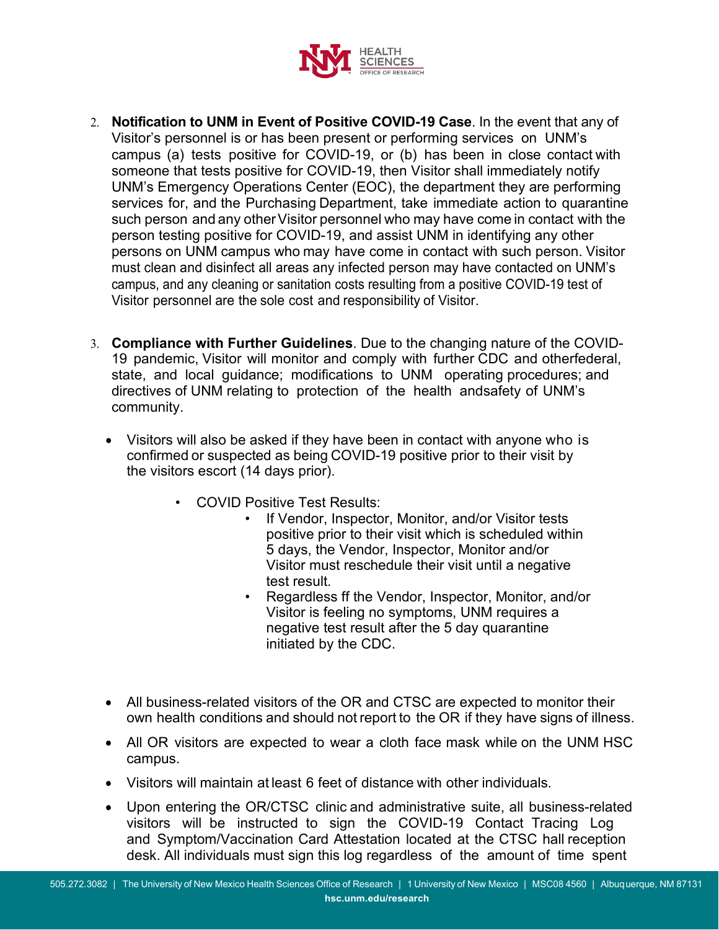

- 2. **Notification to UNM in Event of Positive COVID-19 Case**. In the event that any of Visitor's personnel is or has been present or performing services on UNM's campus (a) tests positive for COVID-19, or (b) has been in close contact with someone that tests positive for COVID-19, then Visitor shall immediately notify UNM's Emergency Operations Center (EOC), the department they are performing services for, and the Purchasing Department, take immediate action to quarantine such person and any other Visitor personnel who may have come in contact with the person testing positive for COVID-19, and assist UNM in identifying any other persons on UNM campus who may have come in contact with such person. Visitor must clean and disinfect all areas any infected person may have contacted on UNM's campus, and any cleaning or sanitation costs resulting from a positive COVID-19 test of Visitor personnel are the sole cost and responsibility of Visitor.
- 3. **Compliance with Further Guidelines**. Due to the changing nature of the COVID-19 pandemic, Visitor will monitor and comply with further CDC and otherfederal, state, and local guidance; modifications to UNM operating procedures; and directives of UNM relating to protection of the health andsafety of UNM's community.
	- Visitors will also be asked if they have been in contact with anyone who is confirmed or suspected as being COVID-19 positive prior to their visit by the visitors escort (14 days prior).
		- COVID Positive Test Results:
			- If Vendor, Inspector, Monitor, and/or Visitor tests positive prior to their visit which is scheduled within 5 days, the Vendor, Inspector, Monitor and/or Visitor must reschedule their visit until a negative test result.
			- Regardless ff the Vendor, Inspector, Monitor, and/or Visitor is feeling no symptoms, UNM requires a negative test result after the 5 day quarantine initiated by the CDC.
	- All business-related visitors of the OR and CTSC are expected to monitor their own health conditions and should not report to the OR if they have signs of illness.
	- All OR visitors are expected to wear a cloth face mask while on the UNM HSC campus.
	- Visitors will maintain at least 6 feet of distance with other individuals.
	- Upon entering the OR/CTSC clinic and administrative suite, all business-related visitors will be instructed to sign the COVID-19 Contact Tracing Log and Symptom/Vaccination Card Attestation located at the CTSC hall reception desk. All individuals must sign this log regardless of the amount of time spent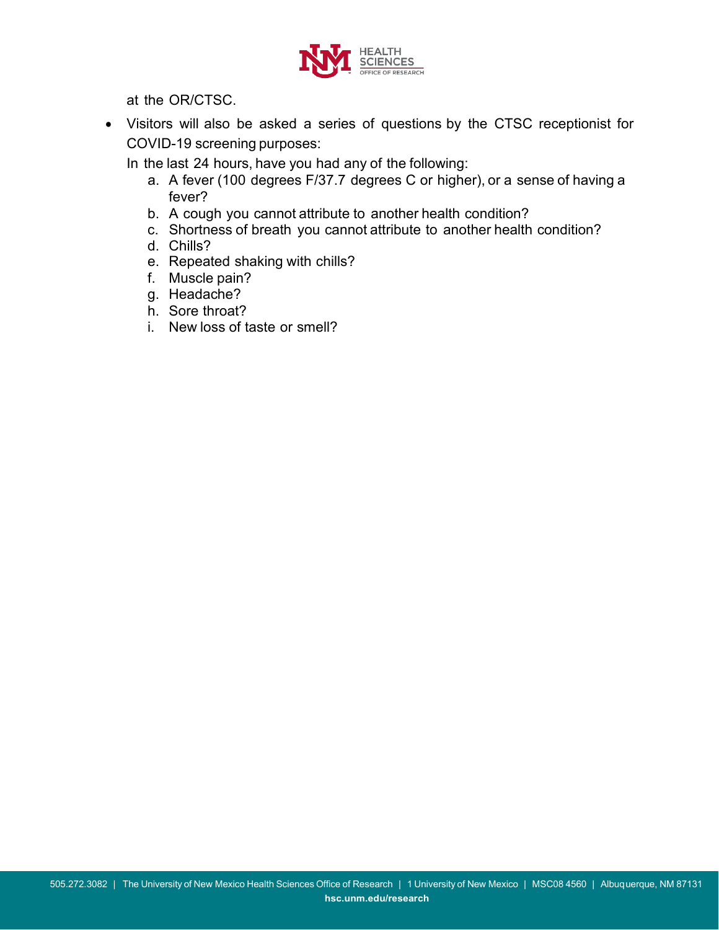

at the OR/CTSC.

• Visitors will also be asked a series of questions by the CTSC receptionist for COVID-19 screening purposes:

In the last 24 hours, have you had any of the following:

- a. A fever (100 degrees F/37.7 degrees C or higher), or a sense of having a fever?
- b. A cough you cannot attribute to another health condition?
- c. Shortness of breath you cannot attribute to another health condition?
- d. Chills?
- e. Repeated shaking with chills?
- f. Muscle pain?
- g. Headache?
- h. Sore throat?
- i. New loss of taste or smell?